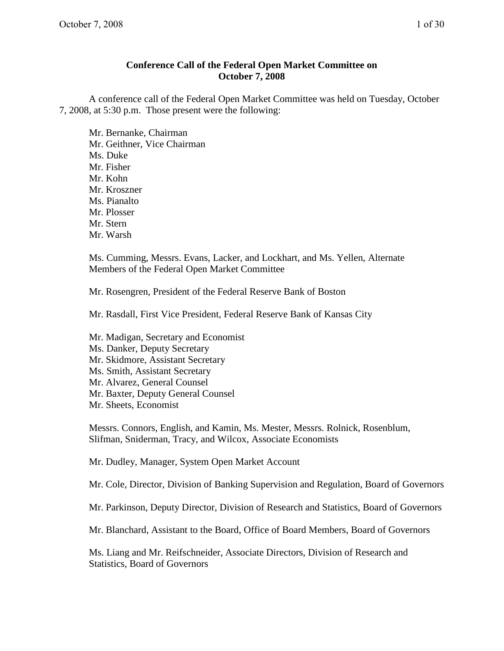## **Conference Call of the Federal Open Market Committee on October 7, 2008**

A conference call of the Federal Open Market Committee was held on Tuesday, October 7, 2008, at 5:30 p.m. Those present were the following:

Mr. Bernanke, Chairman Mr. Geithner, Vice Chairman Ms. Duke Mr. Fisher Mr. Kohn Mr. Kroszner Ms. Pianalto Mr. Plosser Mr. Stern Mr. Warsh

Ms. Cumming, Messrs. Evans, Lacker, and Lockhart, and Ms. Yellen, Alternate Members of the Federal Open Market Committee

Mr. Rosengren, President of the Federal Reserve Bank of Boston

Mr. Rasdall, First Vice President, Federal Reserve Bank of Kansas City

- Mr. Madigan, Secretary and Economist
- Ms. Danker, Deputy Secretary
- Mr. Skidmore, Assistant Secretary
- Ms. Smith, Assistant Secretary
- Mr. Alvarez, General Counsel
- Mr. Baxter, Deputy General Counsel
- Mr. Sheets, Economist

Messrs. Connors, English, and Kamin, Ms. Mester, Messrs. Rolnick, Rosenblum, Slifman, Sniderman, Tracy, and Wilcox, Associate Economists

Mr. Dudley, Manager, System Open Market Account

Mr. Cole, Director, Division of Banking Supervision and Regulation, Board of Governors

Mr. Parkinson, Deputy Director, Division of Research and Statistics, Board of Governors

Mr. Blanchard, Assistant to the Board, Office of Board Members, Board of Governors

Ms. Liang and Mr. Reifschneider, Associate Directors, Division of Research and Statistics, Board of Governors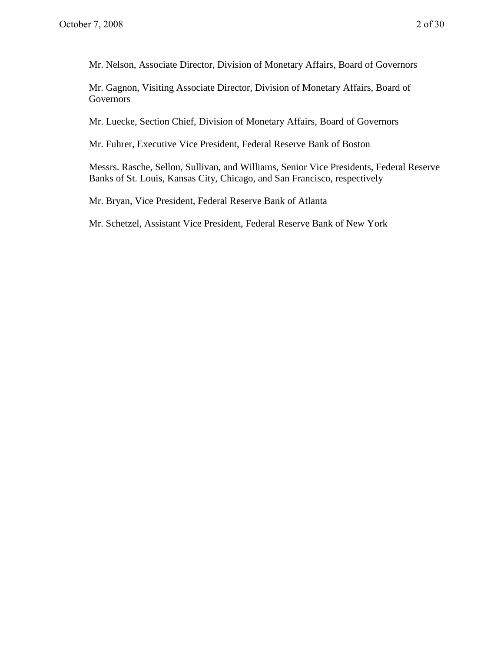Mr. Nelson, Associate Director, Division of Monetary Affairs, Board of Governors

Mr. Gagnon, Visiting Associate Director, Division of Monetary Affairs, Board of Governors

Mr. Luecke, Section Chief, Division of Monetary Affairs, Board of Governors

Mr. Fuhrer, Executive Vice President, Federal Reserve Bank of Boston

Messrs. Rasche, Sellon, Sullivan, and Williams, Senior Vice Presidents, Federal Reserve Banks of St. Louis, Kansas City, Chicago, and San Francisco, respectively

Mr. Bryan, Vice President, Federal Reserve Bank of Atlanta

Mr. Schetzel, Assistant Vice President, Federal Reserve Bank of New York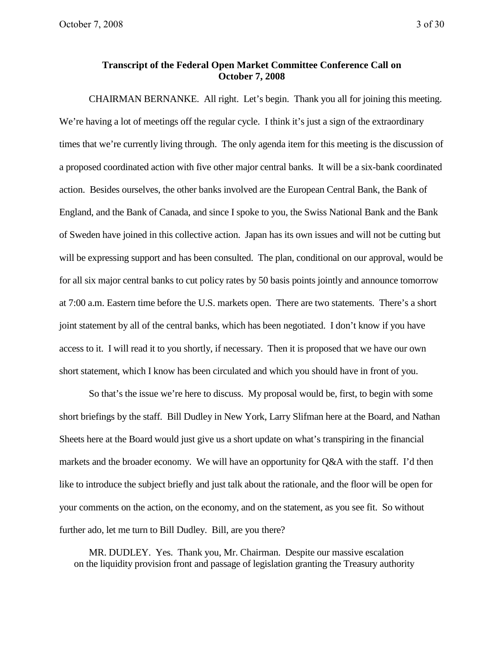## **Transcript of the Federal Open Market Committee Conference Call on October 7, 2008**

CHAIRMAN BERNANKE. All right. Let's begin. Thank you all for joining this meeting. We're having a lot of meetings off the regular cycle. I think it's just a sign of the extraordinary times that we're currently living through. The only agenda item for this meeting is the discussion of a proposed coordinated action with five other major central banks. It will be a six-bank coordinated action. Besides ourselves, the other banks involved are the European Central Bank, the Bank of England, and the Bank of Canada, and since I spoke to you, the Swiss National Bank and the Bank of Sweden have joined in this collective action. Japan has its own issues and will not be cutting but will be expressing support and has been consulted. The plan, conditional on our approval, would be for all six major central banks to cut policy rates by 50 basis points jointly and announce tomorrow at 7:00 a.m. Eastern time before the U.S. markets open. There are two statements. There's a short joint statement by all of the central banks, which has been negotiated. I don't know if you have access to it. I will read it to you shortly, if necessary. Then it is proposed that we have our own short statement, which I know has been circulated and which you should have in front of you.

So that's the issue we're here to discuss. My proposal would be, first, to begin with some short briefings by the staff. Bill Dudley in New York, Larry Slifman here at the Board, and Nathan Sheets here at the Board would just give us a short update on what's transpiring in the financial markets and the broader economy. We will have an opportunity for Q&A with the staff. I'd then like to introduce the subject briefly and just talk about the rationale, and the floor will be open for your comments on the action, on the economy, and on the statement, as you see fit. So without further ado, let me turn to Bill Dudley. Bill, are you there?

MR. DUDLEY. Yes. Thank you, Mr. Chairman. Despite our massive escalation on the liquidity provision front and passage of legislation granting the Treasury authority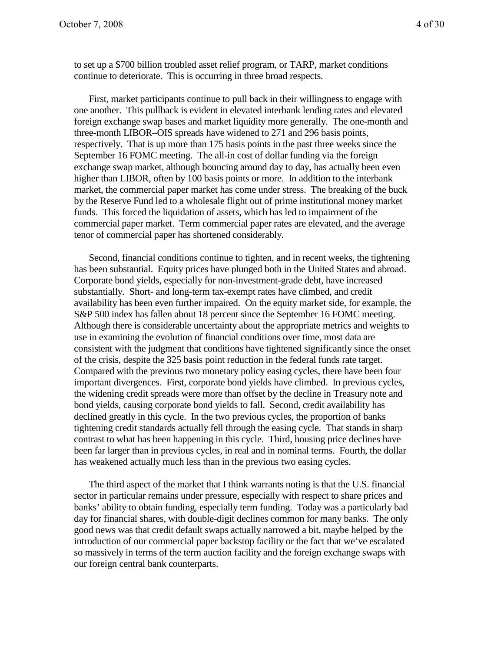to set up a \$700 billion troubled asset relief program, or TARP, market conditions continue to deteriorate. This is occurring in three broad respects.

First, market participants continue to pull back in their willingness to engage with one another. This pullback is evident in elevated interbank lending rates and elevated foreign exchange swap bases and market liquidity more generally. The one-month and three-month LIBOR–OIS spreads have widened to 271 and 296 basis points, respectively. That is up more than 175 basis points in the past three weeks since the September 16 FOMC meeting. The all-in cost of dollar funding via the foreign exchange swap market, although bouncing around day to day, has actually been even higher than LIBOR, often by 100 basis points or more. In addition to the interbank market, the commercial paper market has come under stress. The breaking of the buck by the Reserve Fund led to a wholesale flight out of prime institutional money market funds. This forced the liquidation of assets, which has led to impairment of the commercial paper market. Term commercial paper rates are elevated, and the average tenor of commercial paper has shortened considerably.

Second, financial conditions continue to tighten, and in recent weeks, the tightening has been substantial. Equity prices have plunged both in the United States and abroad. Corporate bond yields, especially for non-investment-grade debt, have increased substantially. Short- and long-term tax-exempt rates have climbed, and credit availability has been even further impaired. On the equity market side, for example, the S&P 500 index has fallen about 18 percent since the September 16 FOMC meeting. Although there is considerable uncertainty about the appropriate metrics and weights to use in examining the evolution of financial conditions over time, most data are consistent with the judgment that conditions have tightened significantly since the onset of the crisis, despite the 325 basis point reduction in the federal funds rate target. Compared with the previous two monetary policy easing cycles, there have been four important divergences. First, corporate bond yields have climbed. In previous cycles, the widening credit spreads were more than offset by the decline in Treasury note and bond yields, causing corporate bond yields to fall. Second, credit availability has declined greatly in this cycle. In the two previous cycles, the proportion of banks tightening credit standards actually fell through the easing cycle. That stands in sharp contrast to what has been happening in this cycle. Third, housing price declines have been far larger than in previous cycles, in real and in nominal terms. Fourth, the dollar has weakened actually much less than in the previous two easing cycles.

The third aspect of the market that I think warrants noting is that the U.S. financial sector in particular remains under pressure, especially with respect to share prices and banks' ability to obtain funding, especially term funding. Today was a particularly bad day for financial shares, with double-digit declines common for many banks. The only good news was that credit default swaps actually narrowed a bit, maybe helped by the introduction of our commercial paper backstop facility or the fact that we've escalated so massively in terms of the term auction facility and the foreign exchange swaps with our foreign central bank counterparts.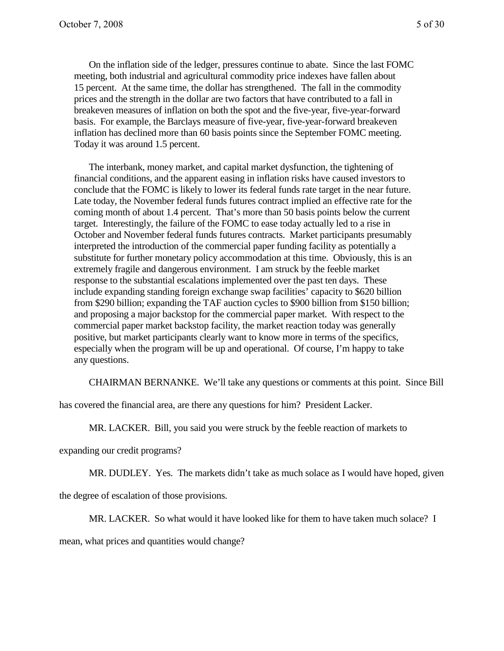On the inflation side of the ledger, pressures continue to abate. Since the last FOMC meeting, both industrial and agricultural commodity price indexes have fallen about 15 percent. At the same time, the dollar has strengthened. The fall in the commodity prices and the strength in the dollar are two factors that have contributed to a fall in breakeven measures of inflation on both the spot and the five-year, five-year-forward basis. For example, the Barclays measure of five-year, five-year-forward breakeven inflation has declined more than 60 basis points since the September FOMC meeting. Today it was around 1.5 percent.

The interbank, money market, and capital market dysfunction, the tightening of financial conditions, and the apparent easing in inflation risks have caused investors to conclude that the FOMC is likely to lower its federal funds rate target in the near future. Late today, the November federal funds futures contract implied an effective rate for the coming month of about 1.4 percent. That's more than 50 basis points below the current target. Interestingly, the failure of the FOMC to ease today actually led to a rise in October and November federal funds futures contracts. Market participants presumably interpreted the introduction of the commercial paper funding facility as potentially a substitute for further monetary policy accommodation at this time. Obviously, this is an extremely fragile and dangerous environment. I am struck by the feeble market response to the substantial escalations implemented over the past ten days. These include expanding standing foreign exchange swap facilities' capacity to \$620 billion from \$290 billion; expanding the TAF auction cycles to \$900 billion from \$150 billion; and proposing a major backstop for the commercial paper market. With respect to the commercial paper market backstop facility, the market reaction today was generally positive, but market participants clearly want to know more in terms of the specifics, especially when the program will be up and operational. Of course, I'm happy to take any questions.

CHAIRMAN BERNANKE. We'll take any questions or comments at this point. Since Bill

has covered the financial area, are there any questions for him? President Lacker.

MR. LACKER. Bill, you said you were struck by the feeble reaction of markets to

expanding our credit programs?

MR. DUDLEY. Yes. The markets didn't take as much solace as I would have hoped, given

the degree of escalation of those provisions.

MR. LACKER. So what would it have looked like for them to have taken much solace? I

mean, what prices and quantities would change?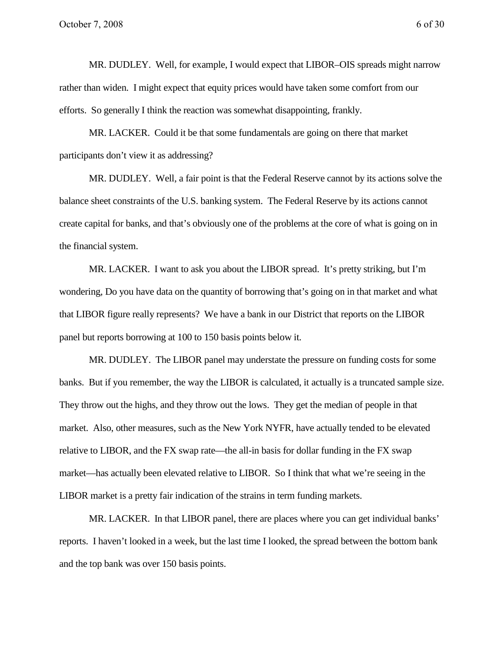MR. DUDLEY. Well, for example, I would expect that LIBOR–OIS spreads might narrow rather than widen. I might expect that equity prices would have taken some comfort from our efforts. So generally I think the reaction was somewhat disappointing, frankly.

MR. LACKER. Could it be that some fundamentals are going on there that market participants don't view it as addressing?

MR. DUDLEY. Well, a fair point is that the Federal Reserve cannot by its actions solve the balance sheet constraints of the U.S. banking system. The Federal Reserve by its actions cannot create capital for banks, and that's obviously one of the problems at the core of what is going on in the financial system.

MR. LACKER. I want to ask you about the LIBOR spread. It's pretty striking, but I'm wondering, Do you have data on the quantity of borrowing that's going on in that market and what that LIBOR figure really represents? We have a bank in our District that reports on the LIBOR panel but reports borrowing at 100 to 150 basis points below it.

MR. DUDLEY. The LIBOR panel may understate the pressure on funding costs for some banks. But if you remember, the way the LIBOR is calculated, it actually is a truncated sample size. They throw out the highs, and they throw out the lows. They get the median of people in that market. Also, other measures, such as the New York NYFR, have actually tended to be elevated relative to LIBOR, and the FX swap rate—the all-in basis for dollar funding in the FX swap market—has actually been elevated relative to LIBOR. So I think that what we're seeing in the LIBOR market is a pretty fair indication of the strains in term funding markets.

MR. LACKER. In that LIBOR panel, there are places where you can get individual banks' reports. I haven't looked in a week, but the last time I looked, the spread between the bottom bank and the top bank was over 150 basis points.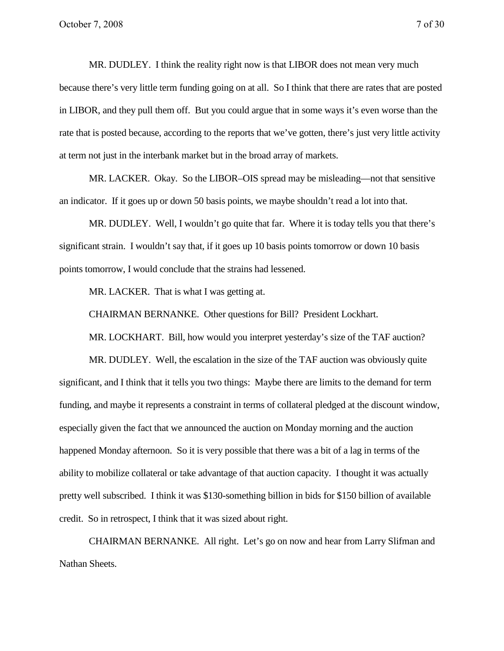MR. DUDLEY. I think the reality right now is that LIBOR does not mean very much because there's very little term funding going on at all. So I think that there are rates that are posted in LIBOR, and they pull them off. But you could argue that in some ways it's even worse than the rate that is posted because, according to the reports that we've gotten, there's just very little activity at term not just in the interbank market but in the broad array of markets.

MR. LACKER. Okay. So the LIBOR–OIS spread may be misleading—not that sensitive an indicator. If it goes up or down 50 basis points, we maybe shouldn't read a lot into that.

MR. DUDLEY. Well, I wouldn't go quite that far. Where it is today tells you that there's significant strain. I wouldn't say that, if it goes up 10 basis points tomorrow or down 10 basis points tomorrow, I would conclude that the strains had lessened.

MR. LACKER. That is what I was getting at.

CHAIRMAN BERNANKE. Other questions for Bill? President Lockhart.

MR. LOCKHART. Bill, how would you interpret yesterday's size of the TAF auction?

MR. DUDLEY. Well, the escalation in the size of the TAF auction was obviously quite significant, and I think that it tells you two things: Maybe there are limits to the demand for term funding, and maybe it represents a constraint in terms of collateral pledged at the discount window, especially given the fact that we announced the auction on Monday morning and the auction happened Monday afternoon. So it is very possible that there was a bit of a lag in terms of the ability to mobilize collateral or take advantage of that auction capacity. I thought it was actually pretty well subscribed. I think it was \$130-something billion in bids for \$150 billion of available credit. So in retrospect, I think that it was sized about right.

CHAIRMAN BERNANKE. All right. Let's go on now and hear from Larry Slifman and Nathan Sheets.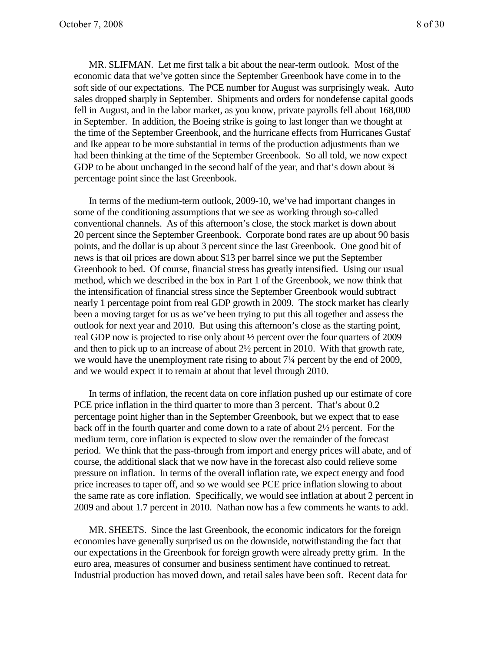MR. SLIFMAN. Let me first talk a bit about the near-term outlook. Most of the economic data that we've gotten since the September Greenbook have come in to the soft side of our expectations. The PCE number for August was surprisingly weak. Auto sales dropped sharply in September. Shipments and orders for nondefense capital goods fell in August, and in the labor market, as you know, private payrolls fell about 168,000 in September. In addition, the Boeing strike is going to last longer than we thought at the time of the September Greenbook, and the hurricane effects from Hurricanes Gustaf and Ike appear to be more substantial in terms of the production adjustments than we had been thinking at the time of the September Greenbook. So all told, we now expect GDP to be about unchanged in the second half of the year, and that's down about  $\frac{3}{4}$ percentage point since the last Greenbook.

In terms of the medium-term outlook, 2009-10, we've had important changes in some of the conditioning assumptions that we see as working through so-called conventional channels. As of this afternoon's close, the stock market is down about 20 percent since the September Greenbook. Corporate bond rates are up about 90 basis points, and the dollar is up about 3 percent since the last Greenbook. One good bit of news is that oil prices are down about \$13 per barrel since we put the September Greenbook to bed. Of course, financial stress has greatly intensified. Using our usual method, which we described in the box in Part 1 of the Greenbook, we now think that the intensification of financial stress since the September Greenbook would subtract nearly 1 percentage point from real GDP growth in 2009. The stock market has clearly been a moving target for us as we've been trying to put this all together and assess the outlook for next year and 2010. But using this afternoon's close as the starting point, real GDP now is projected to rise only about ½ percent over the four quarters of 2009 and then to pick up to an increase of about 2½ percent in 2010. With that growth rate, we would have the unemployment rate rising to about 7¼ percent by the end of 2009, and we would expect it to remain at about that level through 2010.

In terms of inflation, the recent data on core inflation pushed up our estimate of core PCE price inflation in the third quarter to more than 3 percent. That's about  $0.2$ percentage point higher than in the September Greenbook, but we expect that to ease back off in the fourth quarter and come down to a rate of about 2½ percent. For the medium term, core inflation is expected to slow over the remainder of the forecast period. We think that the pass-through from import and energy prices will abate, and of course, the additional slack that we now have in the forecast also could relieve some pressure on inflation. In terms of the overall inflation rate, we expect energy and food price increases to taper off, and so we would see PCE price inflation slowing to about the same rate as core inflation. Specifically, we would see inflation at about 2 percent in 2009 and about 1.7 percent in 2010. Nathan now has a few comments he wants to add.

MR. SHEETS. Since the last Greenbook, the economic indicators for the foreign economies have generally surprised us on the downside, notwithstanding the fact that our expectations in the Greenbook for foreign growth were already pretty grim. In the euro area, measures of consumer and business sentiment have continued to retreat. Industrial production has moved down, and retail sales have been soft. Recent data for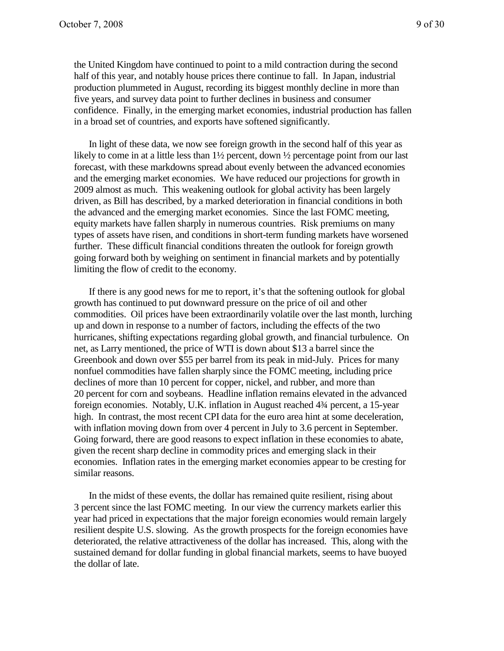the United Kingdom have continued to point to a mild contraction during the second half of this year, and notably house prices there continue to fall. In Japan, industrial production plummeted in August, recording its biggest monthly decline in more than five years, and survey data point to further declines in business and consumer confidence. Finally, in the emerging market economies, industrial production has fallen

In light of these data, we now see foreign growth in the second half of this year as likely to come in at a little less than  $1\frac{1}{2}$  percent, down  $\frac{1}{2}$  percentage point from our last forecast, with these markdowns spread about evenly between the advanced economies and the emerging market economies. We have reduced our projections for growth in 2009 almost as much. This weakening outlook for global activity has been largely driven, as Bill has described, by a marked deterioration in financial conditions in both the advanced and the emerging market economies. Since the last FOMC meeting, equity markets have fallen sharply in numerous countries. Risk premiums on many types of assets have risen, and conditions in short-term funding markets have worsened further. These difficult financial conditions threaten the outlook for foreign growth going forward both by weighing on sentiment in financial markets and by potentially limiting the flow of credit to the economy.

in a broad set of countries, and exports have softened significantly.

If there is any good news for me to report, it's that the softening outlook for global growth has continued to put downward pressure on the price of oil and other commodities. Oil prices have been extraordinarily volatile over the last month, lurching up and down in response to a number of factors, including the effects of the two hurricanes, shifting expectations regarding global growth, and financial turbulence. On net, as Larry mentioned, the price of WTI is down about \$13 a barrel since the Greenbook and down over \$55 per barrel from its peak in mid-July. Prices for many nonfuel commodities have fallen sharply since the FOMC meeting, including price declines of more than 10 percent for copper, nickel, and rubber, and more than 20 percent for corn and soybeans. Headline inflation remains elevated in the advanced foreign economies. Notably, U.K. inflation in August reached 4¾ percent, a 15-year high. In contrast, the most recent CPI data for the euro area hint at some deceleration, with inflation moving down from over 4 percent in July to 3.6 percent in September. Going forward, there are good reasons to expect inflation in these economies to abate, given the recent sharp decline in commodity prices and emerging slack in their economies. Inflation rates in the emerging market economies appear to be cresting for similar reasons.

In the midst of these events, the dollar has remained quite resilient, rising about 3 percent since the last FOMC meeting. In our view the currency markets earlier this year had priced in expectations that the major foreign economies would remain largely resilient despite U.S. slowing. As the growth prospects for the foreign economies have deteriorated, the relative attractiveness of the dollar has increased. This, along with the sustained demand for dollar funding in global financial markets, seems to have buoyed the dollar of late.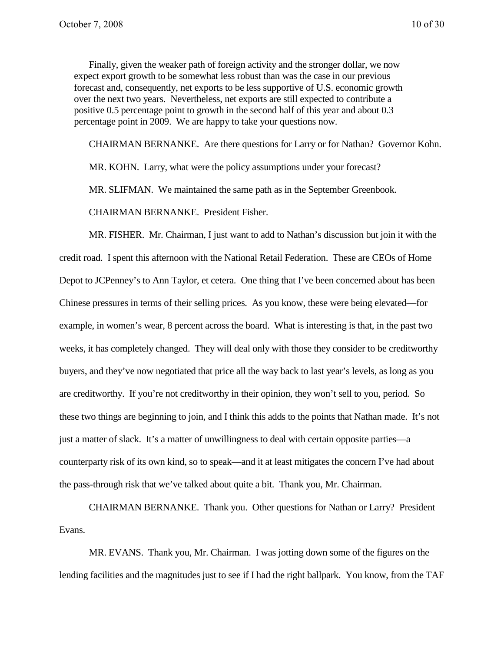Finally, given the weaker path of foreign activity and the stronger dollar, we now expect export growth to be somewhat less robust than was the case in our previous forecast and, consequently, net exports to be less supportive of U.S. economic growth over the next two years. Nevertheless, net exports are still expected to contribute a positive 0.5 percentage point to growth in the second half of this year and about 0.3 percentage point in 2009. We are happy to take your questions now.

CHAIRMAN BERNANKE. Are there questions for Larry or for Nathan? Governor Kohn.

MR. KOHN. Larry, what were the policy assumptions under your forecast?

MR. SLIFMAN. We maintained the same path as in the September Greenbook.

CHAIRMAN BERNANKE. President Fisher.

MR. FISHER. Mr. Chairman, I just want to add to Nathan's discussion but join it with the credit road. I spent this afternoon with the National Retail Federation. These are CEOs of Home Depot to JCPenney's to Ann Taylor, et cetera. One thing that I've been concerned about has been Chinese pressures in terms of their selling prices. As you know, these were being elevated—for example, in women's wear, 8 percent across the board. What is interesting is that, in the past two weeks, it has completely changed. They will deal only with those they consider to be creditworthy buyers, and they've now negotiated that price all the way back to last year's levels, as long as you are creditworthy. If you're not creditworthy in their opinion, they won't sell to you, period. So these two things are beginning to join, and I think this adds to the points that Nathan made. It's not just a matter of slack. It's a matter of unwillingness to deal with certain opposite parties—a counterparty risk of its own kind, so to speak—and it at least mitigates the concern I've had about the pass-through risk that we've talked about quite a bit. Thank you, Mr. Chairman.

CHAIRMAN BERNANKE. Thank you. Other questions for Nathan or Larry? President Evans.

MR. EVANS. Thank you, Mr. Chairman. I was jotting down some of the figures on the lending facilities and the magnitudes just to see if I had the right ballpark. You know, from the TAF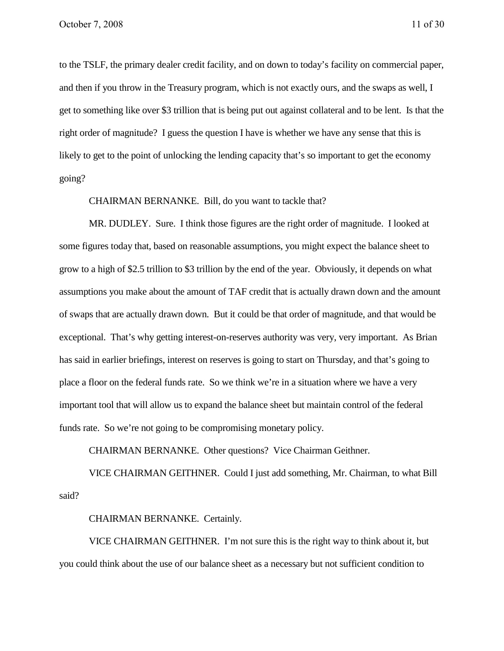to the TSLF, the primary dealer credit facility, and on down to today's facility on commercial paper, and then if you throw in the Treasury program, which is not exactly ours, and the swaps as well, I get to something like over \$3 trillion that is being put out against collateral and to be lent. Is that the right order of magnitude? I guess the question I have is whether we have any sense that this is likely to get to the point of unlocking the lending capacity that's so important to get the economy going?

### CHAIRMAN BERNANKE. Bill, do you want to tackle that?

MR. DUDLEY. Sure. I think those figures are the right order of magnitude. I looked at some figures today that, based on reasonable assumptions, you might expect the balance sheet to grow to a high of \$2.5 trillion to \$3 trillion by the end of the year. Obviously, it depends on what assumptions you make about the amount of TAF credit that is actually drawn down and the amount of swaps that are actually drawn down. But it could be that order of magnitude, and that would be exceptional. That's why getting interest-on-reserves authority was very, very important. As Brian has said in earlier briefings, interest on reserves is going to start on Thursday, and that's going to place a floor on the federal funds rate. So we think we're in a situation where we have a very important tool that will allow us to expand the balance sheet but maintain control of the federal funds rate. So we're not going to be compromising monetary policy.

CHAIRMAN BERNANKE. Other questions? Vice Chairman Geithner.

VICE CHAIRMAN GEITHNER. Could I just add something, Mr. Chairman, to what Bill said?

#### CHAIRMAN BERNANKE. Certainly.

VICE CHAIRMAN GEITHNER. I'm not sure this is the right way to think about it, but you could think about the use of our balance sheet as a necessary but not sufficient condition to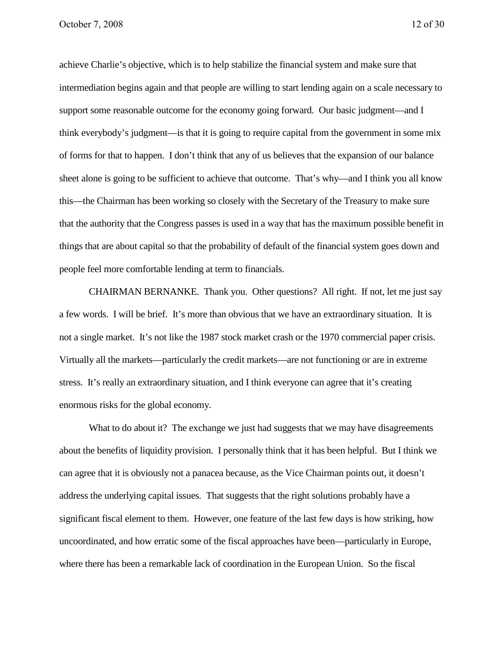achieve Charlie's objective, which is to help stabilize the financial system and make sure that intermediation begins again and that people are willing to start lending again on a scale necessary to support some reasonable outcome for the economy going forward. Our basic judgment—and I think everybody's judgment—is that it is going to require capital from the government in some mix of forms for that to happen. I don't think that any of us believes that the expansion of our balance sheet alone is going to be sufficient to achieve that outcome. That's why—and I think you all know this—the Chairman has been working so closely with the Secretary of the Treasury to make sure that the authority that the Congress passes is used in a way that has the maximum possible benefit in things that are about capital so that the probability of default of the financial system goes down and people feel more comfortable lending at term to financials.

CHAIRMAN BERNANKE. Thank you. Other questions? All right. If not, let me just say a few words. I will be brief. It's more than obvious that we have an extraordinary situation. It is not a single market. It's not like the 1987 stock market crash or the 1970 commercial paper crisis. Virtually all the markets—particularly the credit markets—are not functioning or are in extreme stress. It's really an extraordinary situation, and I think everyone can agree that it's creating enormous risks for the global economy.

What to do about it? The exchange we just had suggests that we may have disagreements about the benefits of liquidity provision. I personally think that it has been helpful. But I think we can agree that it is obviously not a panacea because, as the Vice Chairman points out, it doesn't address the underlying capital issues. That suggests that the right solutions probably have a significant fiscal element to them. However, one feature of the last few days is how striking, how uncoordinated, and how erratic some of the fiscal approaches have been—particularly in Europe, where there has been a remarkable lack of coordination in the European Union. So the fiscal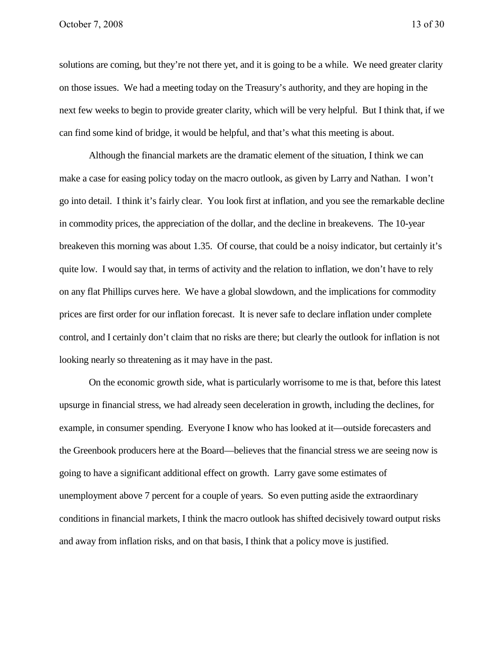solutions are coming, but they're not there yet, and it is going to be a while. We need greater clarity on those issues. We had a meeting today on the Treasury's authority, and they are hoping in the next few weeks to begin to provide greater clarity, which will be very helpful. But I think that, if we can find some kind of bridge, it would be helpful, and that's what this meeting is about.

Although the financial markets are the dramatic element of the situation, I think we can make a case for easing policy today on the macro outlook, as given by Larry and Nathan. I won't go into detail. I think it's fairly clear. You look first at inflation, and you see the remarkable decline in commodity prices, the appreciation of the dollar, and the decline in breakevens. The 10-year breakeven this morning was about 1.35. Of course, that could be a noisy indicator, but certainly it's quite low. I would say that, in terms of activity and the relation to inflation, we don't have to rely on any flat Phillips curves here. We have a global slowdown, and the implications for commodity prices are first order for our inflation forecast. It is never safe to declare inflation under complete control, and I certainly don't claim that no risks are there; but clearly the outlook for inflation is not looking nearly so threatening as it may have in the past.

On the economic growth side, what is particularly worrisome to me is that, before this latest upsurge in financial stress, we had already seen deceleration in growth, including the declines, for example, in consumer spending. Everyone I know who has looked at it—outside forecasters and the Greenbook producers here at the Board—believes that the financial stress we are seeing now is going to have a significant additional effect on growth. Larry gave some estimates of unemployment above 7 percent for a couple of years. So even putting aside the extraordinary conditions in financial markets, I think the macro outlook has shifted decisively toward output risks and away from inflation risks, and on that basis, I think that a policy move is justified.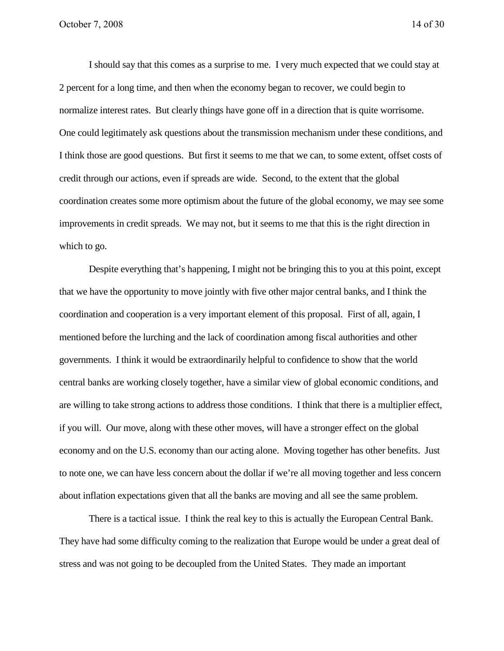I should say that this comes as a surprise to me. I very much expected that we could stay at 2 percent for a long time, and then when the economy began to recover, we could begin to normalize interest rates. But clearly things have gone off in a direction that is quite worrisome. One could legitimately ask questions about the transmission mechanism under these conditions, and I think those are good questions. But first it seems to me that we can, to some extent, offset costs of credit through our actions, even if spreads are wide. Second, to the extent that the global coordination creates some more optimism about the future of the global economy, we may see some improvements in credit spreads. We may not, but it seems to me that this is the right direction in which to go.

Despite everything that's happening, I might not be bringing this to you at this point, except that we have the opportunity to move jointly with five other major central banks, and I think the coordination and cooperation is a very important element of this proposal. First of all, again, I mentioned before the lurching and the lack of coordination among fiscal authorities and other governments. I think it would be extraordinarily helpful to confidence to show that the world central banks are working closely together, have a similar view of global economic conditions, and are willing to take strong actions to address those conditions. I think that there is a multiplier effect, if you will. Our move, along with these other moves, will have a stronger effect on the global economy and on the U.S. economy than our acting alone. Moving together has other benefits. Just to note one, we can have less concern about the dollar if we're all moving together and less concern about inflation expectations given that all the banks are moving and all see the same problem.

There is a tactical issue. I think the real key to this is actually the European Central Bank. They have had some difficulty coming to the realization that Europe would be under a great deal of stress and was not going to be decoupled from the United States. They made an important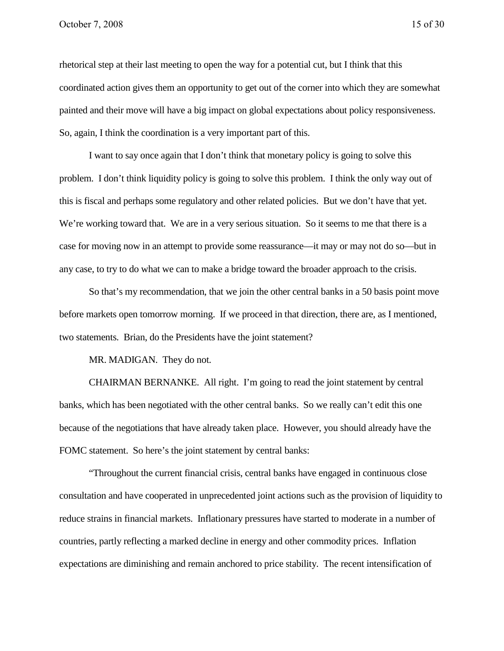rhetorical step at their last meeting to open the way for a potential cut, but I think that this coordinated action gives them an opportunity to get out of the corner into which they are somewhat painted and their move will have a big impact on global expectations about policy responsiveness. So, again, I think the coordination is a very important part of this.

I want to say once again that I don't think that monetary policy is going to solve this problem. I don't think liquidity policy is going to solve this problem. I think the only way out of this is fiscal and perhaps some regulatory and other related policies. But we don't have that yet. We're working toward that. We are in a very serious situation. So it seems to me that there is a case for moving now in an attempt to provide some reassurance—it may or may not do so—but in any case, to try to do what we can to make a bridge toward the broader approach to the crisis.

So that's my recommendation, that we join the other central banks in a 50 basis point move before markets open tomorrow morning. If we proceed in that direction, there are, as I mentioned, two statements. Brian, do the Presidents have the joint statement?

MR. MADIGAN. They do not.

CHAIRMAN BERNANKE. All right. I'm going to read the joint statement by central banks, which has been negotiated with the other central banks. So we really can't edit this one because of the negotiations that have already taken place. However, you should already have the FOMC statement. So here's the joint statement by central banks:

"Throughout the current financial crisis, central banks have engaged in continuous close consultation and have cooperated in unprecedented joint actions such as the provision of liquidity to reduce strains in financial markets. Inflationary pressures have started to moderate in a number of countries, partly reflecting a marked decline in energy and other commodity prices. Inflation expectations are diminishing and remain anchored to price stability. The recent intensification of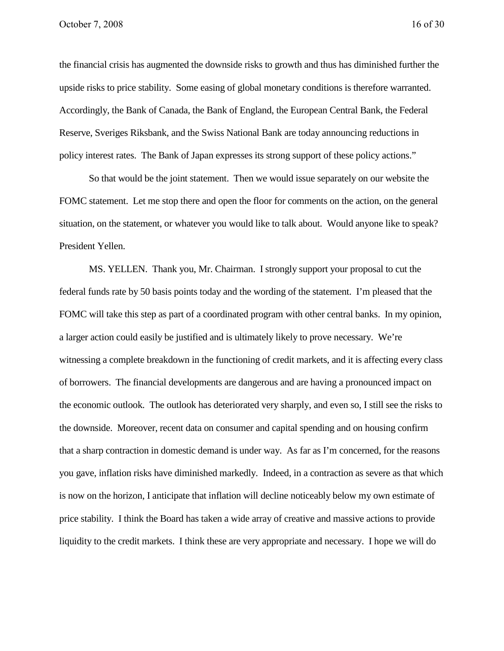the financial crisis has augmented the downside risks to growth and thus has diminished further the upside risks to price stability. Some easing of global monetary conditions is therefore warranted. Accordingly, the Bank of Canada, the Bank of England, the European Central Bank, the Federal Reserve, Sveriges Riksbank, and the Swiss National Bank are today announcing reductions in policy interest rates. The Bank of Japan expresses its strong support of these policy actions."

So that would be the joint statement. Then we would issue separately on our website the FOMC statement. Let me stop there and open the floor for comments on the action, on the general situation, on the statement, or whatever you would like to talk about. Would anyone like to speak? President Yellen.

MS. YELLEN. Thank you, Mr. Chairman. I strongly support your proposal to cut the federal funds rate by 50 basis points today and the wording of the statement. I'm pleased that the FOMC will take this step as part of a coordinated program with other central banks. In my opinion, a larger action could easily be justified and is ultimately likely to prove necessary. We're witnessing a complete breakdown in the functioning of credit markets, and it is affecting every class of borrowers. The financial developments are dangerous and are having a pronounced impact on the economic outlook. The outlook has deteriorated very sharply, and even so, I still see the risks to the downside. Moreover, recent data on consumer and capital spending and on housing confirm that a sharp contraction in domestic demand is under way. As far as I'm concerned, for the reasons you gave, inflation risks have diminished markedly. Indeed, in a contraction as severe as that which is now on the horizon, I anticipate that inflation will decline noticeably below my own estimate of price stability. I think the Board has taken a wide array of creative and massive actions to provide liquidity to the credit markets. I think these are very appropriate and necessary. I hope we will do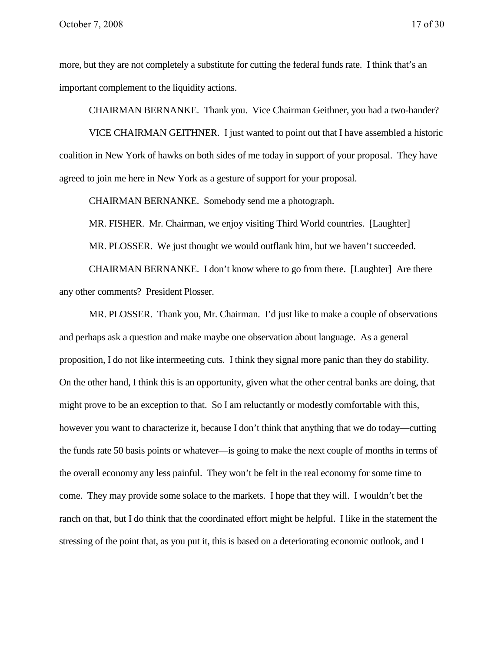more, but they are not completely a substitute for cutting the federal funds rate. I think that's an important complement to the liquidity actions.

CHAIRMAN BERNANKE. Thank you. Vice Chairman Geithner, you had a two-hander?

VICE CHAIRMAN GEITHNER. I just wanted to point out that I have assembled a historic coalition in New York of hawks on both sides of me today in support of your proposal. They have agreed to join me here in New York as a gesture of support for your proposal.

CHAIRMAN BERNANKE. Somebody send me a photograph.

MR. FISHER. Mr. Chairman, we enjoy visiting Third World countries. [Laughter]

MR. PLOSSER. We just thought we would outflank him, but we haven't succeeded.

CHAIRMAN BERNANKE. I don't know where to go from there. [Laughter] Are there any other comments? President Plosser.

MR. PLOSSER. Thank you, Mr. Chairman. I'd just like to make a couple of observations and perhaps ask a question and make maybe one observation about language. As a general proposition, I do not like intermeeting cuts. I think they signal more panic than they do stability. On the other hand, I think this is an opportunity, given what the other central banks are doing, that might prove to be an exception to that. So I am reluctantly or modestly comfortable with this, however you want to characterize it, because I don't think that anything that we do today—cutting the funds rate 50 basis points or whatever—is going to make the next couple of months in terms of the overall economy any less painful. They won't be felt in the real economy for some time to come. They may provide some solace to the markets. I hope that they will. I wouldn't bet the ranch on that, but I do think that the coordinated effort might be helpful. I like in the statement the stressing of the point that, as you put it, this is based on a deteriorating economic outlook, and I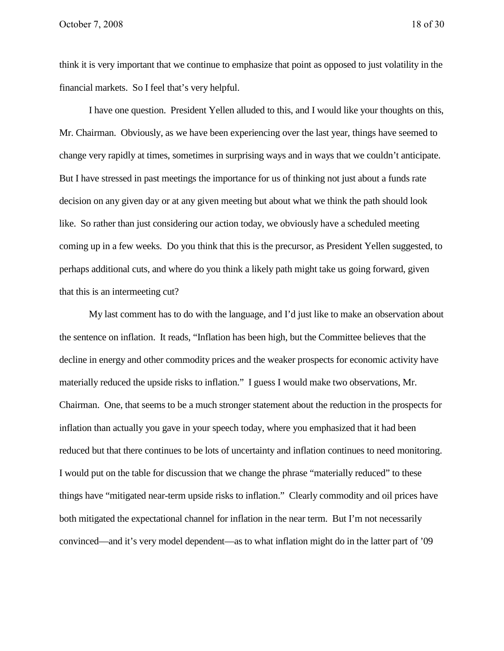think it is very important that we continue to emphasize that point as opposed to just volatility in the financial markets. So I feel that's very helpful.

I have one question. President Yellen alluded to this, and I would like your thoughts on this, Mr. Chairman. Obviously, as we have been experiencing over the last year, things have seemed to change very rapidly at times, sometimes in surprising ways and in ways that we couldn't anticipate. But I have stressed in past meetings the importance for us of thinking not just about a funds rate decision on any given day or at any given meeting but about what we think the path should look like. So rather than just considering our action today, we obviously have a scheduled meeting coming up in a few weeks. Do you think that this is the precursor, as President Yellen suggested, to perhaps additional cuts, and where do you think a likely path might take us going forward, given that this is an intermeeting cut?

My last comment has to do with the language, and I'd just like to make an observation about the sentence on inflation. It reads, "Inflation has been high, but the Committee believes that the decline in energy and other commodity prices and the weaker prospects for economic activity have materially reduced the upside risks to inflation." I guess I would make two observations, Mr. Chairman. One, that seems to be a much stronger statement about the reduction in the prospects for inflation than actually you gave in your speech today, where you emphasized that it had been reduced but that there continues to be lots of uncertainty and inflation continues to need monitoring. I would put on the table for discussion that we change the phrase "materially reduced" to these things have "mitigated near-term upside risks to inflation." Clearly commodity and oil prices have both mitigated the expectational channel for inflation in the near term. But I'm not necessarily convinced—and it's very model dependent—as to what inflation might do in the latter part of '09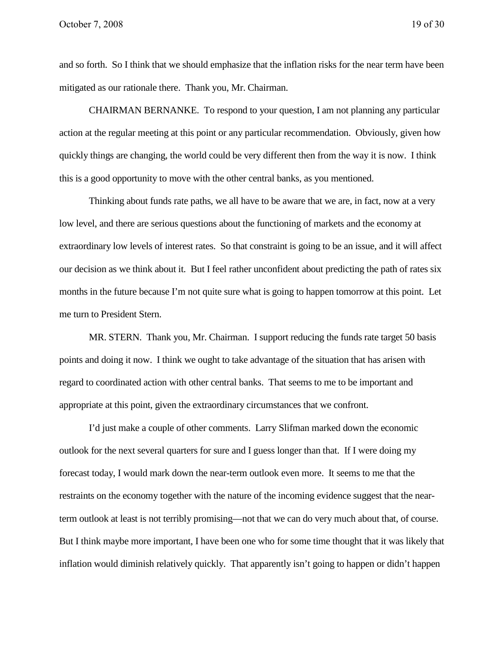and so forth. So I think that we should emphasize that the inflation risks for the near term have been mitigated as our rationale there. Thank you, Mr. Chairman.

CHAIRMAN BERNANKE. To respond to your question, I am not planning any particular action at the regular meeting at this point or any particular recommendation. Obviously, given how quickly things are changing, the world could be very different then from the way it is now. I think this is a good opportunity to move with the other central banks, as you mentioned.

Thinking about funds rate paths, we all have to be aware that we are, in fact, now at a very low level, and there are serious questions about the functioning of markets and the economy at extraordinary low levels of interest rates. So that constraint is going to be an issue, and it will affect our decision as we think about it. But I feel rather unconfident about predicting the path of rates six months in the future because I'm not quite sure what is going to happen tomorrow at this point. Let me turn to President Stern.

MR. STERN. Thank you, Mr. Chairman. I support reducing the funds rate target 50 basis points and doing it now. I think we ought to take advantage of the situation that has arisen with regard to coordinated action with other central banks. That seems to me to be important and appropriate at this point, given the extraordinary circumstances that we confront.

I'd just make a couple of other comments. Larry Slifman marked down the economic outlook for the next several quarters for sure and I guess longer than that. If I were doing my forecast today, I would mark down the near-term outlook even more. It seems to me that the restraints on the economy together with the nature of the incoming evidence suggest that the nearterm outlook at least is not terribly promising—not that we can do very much about that, of course. But I think maybe more important, I have been one who for some time thought that it was likely that inflation would diminish relatively quickly. That apparently isn't going to happen or didn't happen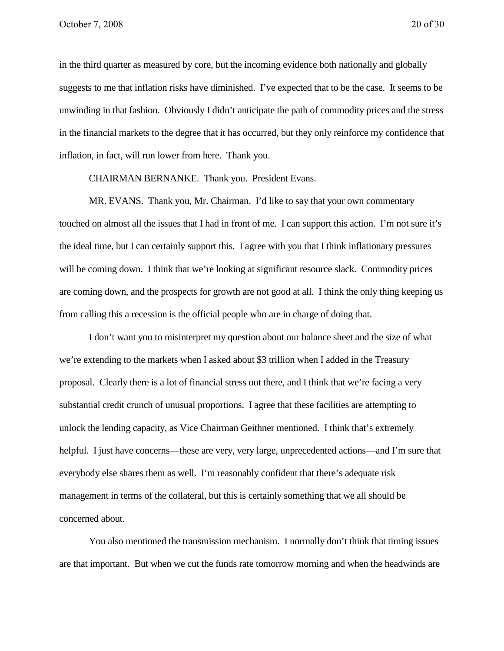in the third quarter as measured by core, but the incoming evidence both nationally and globally suggests to me that inflation risks have diminished. I've expected that to be the case. It seems to be unwinding in that fashion. Obviously I didn't anticipate the path of commodity prices and the stress in the financial markets to the degree that it has occurred, but they only reinforce my confidence that inflation, in fact, will run lower from here. Thank you.

CHAIRMAN BERNANKE. Thank you. President Evans.

MR. EVANS. Thank you, Mr. Chairman. I'd like to say that your own commentary touched on almost all the issues that I had in front of me. I can support this action. I'm not sure it's the ideal time, but I can certainly support this. I agree with you that I think inflationary pressures will be coming down. I think that we're looking at significant resource slack. Commodity prices are coming down, and the prospects for growth are not good at all. I think the only thing keeping us from calling this a recession is the official people who are in charge of doing that.

I don't want you to misinterpret my question about our balance sheet and the size of what we're extending to the markets when I asked about \$3 trillion when I added in the Treasury proposal. Clearly there is a lot of financial stress out there, and I think that we're facing a very substantial credit crunch of unusual proportions. I agree that these facilities are attempting to unlock the lending capacity, as Vice Chairman Geithner mentioned. I think that's extremely helpful. I just have concerns—these are very, very large, unprecedented actions—and I'm sure that everybody else shares them as well. I'm reasonably confident that there's adequate risk management in terms of the collateral, but this is certainly something that we all should be concerned about.

You also mentioned the transmission mechanism. I normally don't think that timing issues are that important. But when we cut the funds rate tomorrow morning and when the headwinds are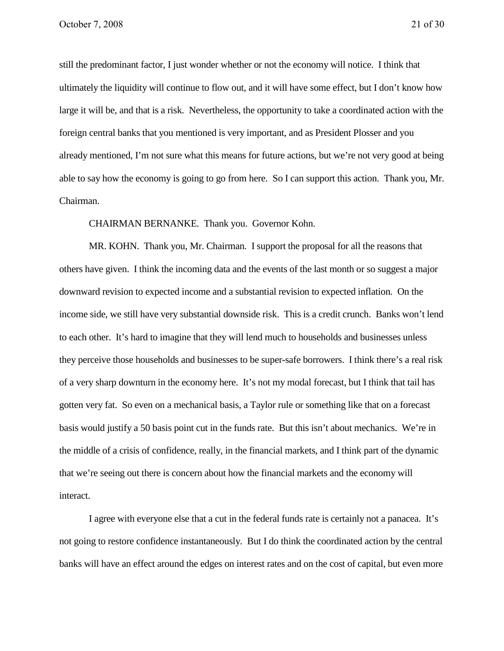still the predominant factor, I just wonder whether or not the economy will notice. I think that ultimately the liquidity will continue to flow out, and it will have some effect, but I don't know how large it will be, and that is a risk. Nevertheless, the opportunity to take a coordinated action with the foreign central banks that you mentioned is very important, and as President Plosser and you already mentioned, I'm not sure what this means for future actions, but we're not very good at being able to say how the economy is going to go from here. So I can support this action. Thank you, Mr. Chairman.

CHAIRMAN BERNANKE. Thank you. Governor Kohn.

MR. KOHN. Thank you, Mr. Chairman. I support the proposal for all the reasons that others have given. I think the incoming data and the events of the last month or so suggest a major downward revision to expected income and a substantial revision to expected inflation. On the income side, we still have very substantial downside risk. This is a credit crunch. Banks won't lend to each other. It's hard to imagine that they will lend much to households and businesses unless they perceive those households and businesses to be super-safe borrowers. I think there's a real risk of a very sharp downturn in the economy here. It's not my modal forecast, but I think that tail has gotten very fat. So even on a mechanical basis, a Taylor rule or something like that on a forecast basis would justify a 50 basis point cut in the funds rate. But this isn't about mechanics. We're in the middle of a crisis of confidence, really, in the financial markets, and I think part of the dynamic that we're seeing out there is concern about how the financial markets and the economy will interact.

I agree with everyone else that a cut in the federal funds rate is certainly not a panacea. It's not going to restore confidence instantaneously. But I do think the coordinated action by the central banks will have an effect around the edges on interest rates and on the cost of capital, but even more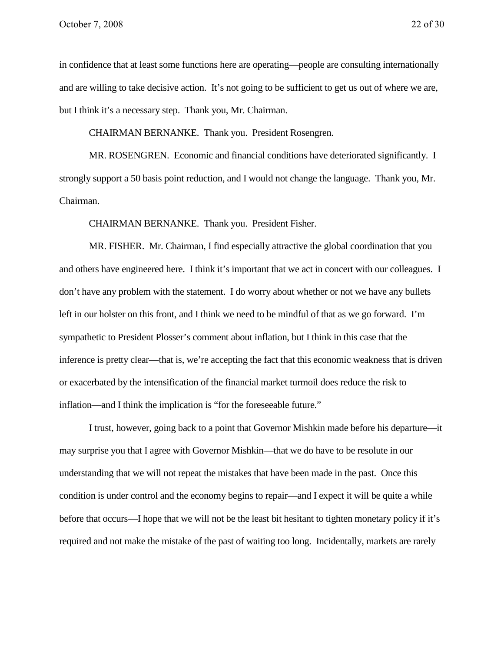in confidence that at least some functions here are operating—people are consulting internationally and are willing to take decisive action. It's not going to be sufficient to get us out of where we are, but I think it's a necessary step. Thank you, Mr. Chairman.

CHAIRMAN BERNANKE. Thank you. President Rosengren.

MR. ROSENGREN. Economic and financial conditions have deteriorated significantly. I strongly support a 50 basis point reduction, and I would not change the language. Thank you, Mr. Chairman.

CHAIRMAN BERNANKE. Thank you. President Fisher.

MR. FISHER. Mr. Chairman, I find especially attractive the global coordination that you and others have engineered here. I think it's important that we act in concert with our colleagues. I don't have any problem with the statement. I do worry about whether or not we have any bullets left in our holster on this front, and I think we need to be mindful of that as we go forward. I'm sympathetic to President Plosser's comment about inflation, but I think in this case that the inference is pretty clear—that is, we're accepting the fact that this economic weakness that is driven or exacerbated by the intensification of the financial market turmoil does reduce the risk to inflation—and I think the implication is "for the foreseeable future."

I trust, however, going back to a point that Governor Mishkin made before his departure—it may surprise you that I agree with Governor Mishkin—that we do have to be resolute in our understanding that we will not repeat the mistakes that have been made in the past. Once this condition is under control and the economy begins to repair—and I expect it will be quite a while before that occurs—I hope that we will not be the least bit hesitant to tighten monetary policy if it's required and not make the mistake of the past of waiting too long. Incidentally, markets are rarely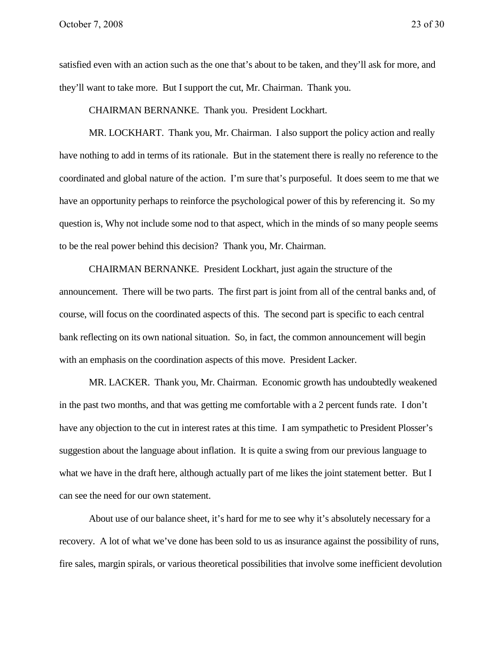satisfied even with an action such as the one that's about to be taken, and they'll ask for more, and they'll want to take more. But I support the cut, Mr. Chairman. Thank you.

CHAIRMAN BERNANKE. Thank you. President Lockhart.

MR. LOCKHART. Thank you, Mr. Chairman. I also support the policy action and really have nothing to add in terms of its rationale. But in the statement there is really no reference to the coordinated and global nature of the action. I'm sure that's purposeful. It does seem to me that we have an opportunity perhaps to reinforce the psychological power of this by referencing it. So my question is, Why not include some nod to that aspect, which in the minds of so many people seems to be the real power behind this decision? Thank you, Mr. Chairman.

CHAIRMAN BERNANKE. President Lockhart, just again the structure of the announcement. There will be two parts. The first part is joint from all of the central banks and, of course, will focus on the coordinated aspects of this. The second part is specific to each central bank reflecting on its own national situation. So, in fact, the common announcement will begin with an emphasis on the coordination aspects of this move. President Lacker.

MR. LACKER. Thank you, Mr. Chairman. Economic growth has undoubtedly weakened in the past two months, and that was getting me comfortable with a 2 percent funds rate. I don't have any objection to the cut in interest rates at this time. I am sympathetic to President Plosser's suggestion about the language about inflation. It is quite a swing from our previous language to what we have in the draft here, although actually part of me likes the joint statement better. But I can see the need for our own statement.

About use of our balance sheet, it's hard for me to see why it's absolutely necessary for a recovery. A lot of what we've done has been sold to us as insurance against the possibility of runs, fire sales, margin spirals, or various theoretical possibilities that involve some inefficient devolution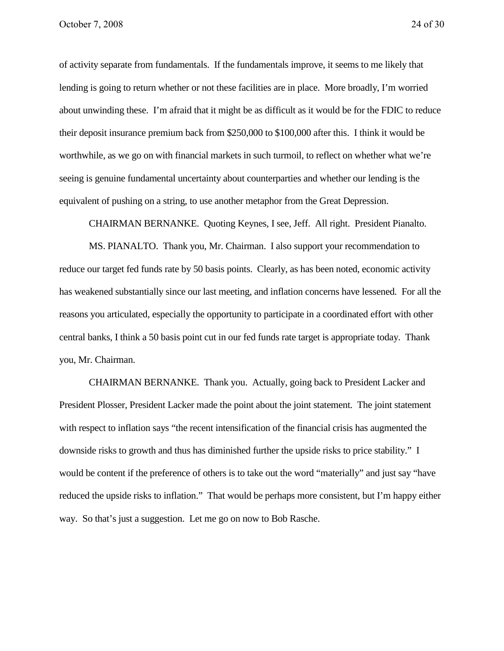of activity separate from fundamentals. If the fundamentals improve, it seems to me likely that lending is going to return whether or not these facilities are in place. More broadly, I'm worried about unwinding these. I'm afraid that it might be as difficult as it would be for the FDIC to reduce their deposit insurance premium back from \$250,000 to \$100,000 after this. I think it would be worthwhile, as we go on with financial markets in such turmoil, to reflect on whether what we're seeing is genuine fundamental uncertainty about counterparties and whether our lending is the equivalent of pushing on a string, to use another metaphor from the Great Depression.

CHAIRMAN BERNANKE. Quoting Keynes, I see, Jeff. All right. President Pianalto.

MS. PIANALTO. Thank you, Mr. Chairman. I also support your recommendation to reduce our target fed funds rate by 50 basis points. Clearly, as has been noted, economic activity has weakened substantially since our last meeting, and inflation concerns have lessened. For all the reasons you articulated, especially the opportunity to participate in a coordinated effort with other central banks, I think a 50 basis point cut in our fed funds rate target is appropriate today. Thank you, Mr. Chairman.

CHAIRMAN BERNANKE. Thank you. Actually, going back to President Lacker and President Plosser, President Lacker made the point about the joint statement. The joint statement with respect to inflation says "the recent intensification of the financial crisis has augmented the downside risks to growth and thus has diminished further the upside risks to price stability." I would be content if the preference of others is to take out the word "materially" and just say "have reduced the upside risks to inflation." That would be perhaps more consistent, but I'm happy either way. So that's just a suggestion. Let me go on now to Bob Rasche.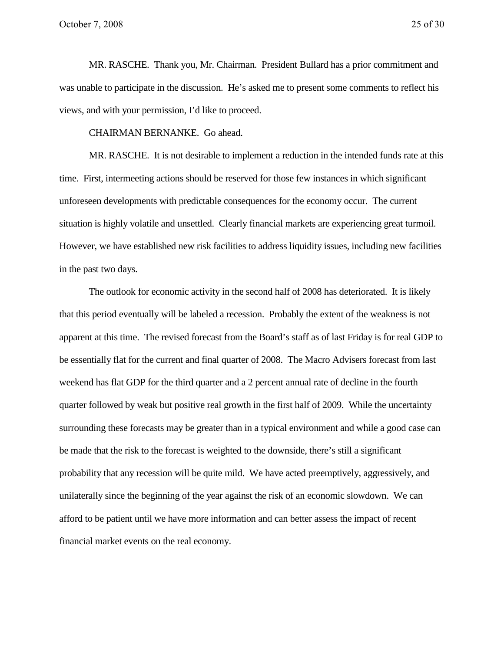MR. RASCHE. Thank you, Mr. Chairman. President Bullard has a prior commitment and was unable to participate in the discussion. He's asked me to present some comments to reflect his views, and with your permission, I'd like to proceed.

CHAIRMAN BERNANKE. Go ahead.

MR. RASCHE. It is not desirable to implement a reduction in the intended funds rate at this time. First, intermeeting actions should be reserved for those few instances in which significant unforeseen developments with predictable consequences for the economy occur. The current situation is highly volatile and unsettled. Clearly financial markets are experiencing great turmoil. However, we have established new risk facilities to address liquidity issues, including new facilities in the past two days.

The outlook for economic activity in the second half of 2008 has deteriorated. It is likely that this period eventually will be labeled a recession. Probably the extent of the weakness is not apparent at this time. The revised forecast from the Board's staff as of last Friday is for real GDP to be essentially flat for the current and final quarter of 2008. The Macro Advisers forecast from last weekend has flat GDP for the third quarter and a 2 percent annual rate of decline in the fourth quarter followed by weak but positive real growth in the first half of 2009. While the uncertainty surrounding these forecasts may be greater than in a typical environment and while a good case can be made that the risk to the forecast is weighted to the downside, there's still a significant probability that any recession will be quite mild. We have acted preemptively, aggressively, and unilaterally since the beginning of the year against the risk of an economic slowdown. We can afford to be patient until we have more information and can better assess the impact of recent financial market events on the real economy.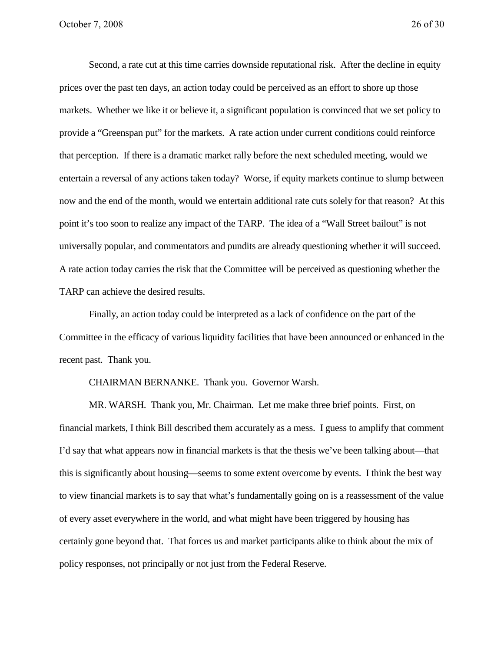Second, a rate cut at this time carries downside reputational risk. After the decline in equity prices over the past ten days, an action today could be perceived as an effort to shore up those markets. Whether we like it or believe it, a significant population is convinced that we set policy to provide a "Greenspan put" for the markets. A rate action under current conditions could reinforce that perception. If there is a dramatic market rally before the next scheduled meeting, would we entertain a reversal of any actions taken today? Worse, if equity markets continue to slump between now and the end of the month, would we entertain additional rate cuts solely for that reason? At this point it's too soon to realize any impact of the TARP. The idea of a "Wall Street bailout" is not universally popular, and commentators and pundits are already questioning whether it will succeed. A rate action today carries the risk that the Committee will be perceived as questioning whether the TARP can achieve the desired results.

Finally, an action today could be interpreted as a lack of confidence on the part of the Committee in the efficacy of various liquidity facilities that have been announced or enhanced in the recent past. Thank you.

### CHAIRMAN BERNANKE. Thank you. Governor Warsh.

MR. WARSH. Thank you, Mr. Chairman. Let me make three brief points. First, on financial markets, I think Bill described them accurately as a mess. I guess to amplify that comment I'd say that what appears now in financial markets is that the thesis we've been talking about—that this is significantly about housing—seems to some extent overcome by events. I think the best way to view financial markets is to say that what's fundamentally going on is a reassessment of the value of every asset everywhere in the world, and what might have been triggered by housing has certainly gone beyond that. That forces us and market participants alike to think about the mix of policy responses, not principally or not just from the Federal Reserve.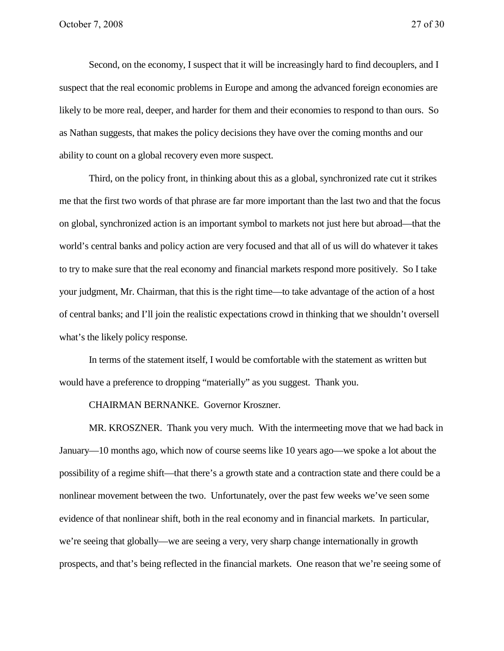Second, on the economy, I suspect that it will be increasingly hard to find decouplers, and I suspect that the real economic problems in Europe and among the advanced foreign economies are likely to be more real, deeper, and harder for them and their economies to respond to than ours. So as Nathan suggests, that makes the policy decisions they have over the coming months and our ability to count on a global recovery even more suspect.

Third, on the policy front, in thinking about this as a global, synchronized rate cut it strikes me that the first two words of that phrase are far more important than the last two and that the focus on global, synchronized action is an important symbol to markets not just here but abroad—that the world's central banks and policy action are very focused and that all of us will do whatever it takes to try to make sure that the real economy and financial markets respond more positively. So I take your judgment, Mr. Chairman, that this is the right time—to take advantage of the action of a host of central banks; and I'll join the realistic expectations crowd in thinking that we shouldn't oversell what's the likely policy response.

In terms of the statement itself, I would be comfortable with the statement as written but would have a preference to dropping "materially" as you suggest. Thank you.

CHAIRMAN BERNANKE. Governor Kroszner.

MR. KROSZNER. Thank you very much. With the intermeeting move that we had back in January—10 months ago, which now of course seems like 10 years ago—we spoke a lot about the possibility of a regime shift—that there's a growth state and a contraction state and there could be a nonlinear movement between the two. Unfortunately, over the past few weeks we've seen some evidence of that nonlinear shift, both in the real economy and in financial markets. In particular, we're seeing that globally—we are seeing a very, very sharp change internationally in growth prospects, and that's being reflected in the financial markets. One reason that we're seeing some of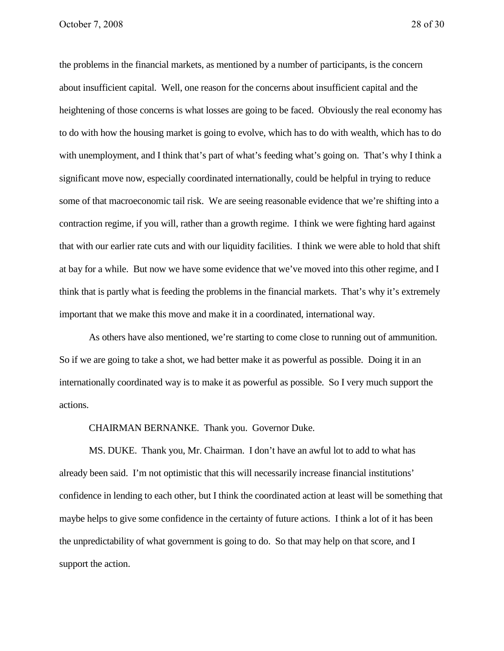the problems in the financial markets, as mentioned by a number of participants, is the concern about insufficient capital. Well, one reason for the concerns about insufficient capital and the heightening of those concerns is what losses are going to be faced. Obviously the real economy has to do with how the housing market is going to evolve, which has to do with wealth, which has to do with unemployment, and I think that's part of what's feeding what's going on. That's why I think a significant move now, especially coordinated internationally, could be helpful in trying to reduce some of that macroeconomic tail risk. We are seeing reasonable evidence that we're shifting into a contraction regime, if you will, rather than a growth regime. I think we were fighting hard against that with our earlier rate cuts and with our liquidity facilities. I think we were able to hold that shift at bay for a while. But now we have some evidence that we've moved into this other regime, and I think that is partly what is feeding the problems in the financial markets. That's why it's extremely important that we make this move and make it in a coordinated, international way.

As others have also mentioned, we're starting to come close to running out of ammunition. So if we are going to take a shot, we had better make it as powerful as possible. Doing it in an internationally coordinated way is to make it as powerful as possible. So I very much support the actions.

CHAIRMAN BERNANKE. Thank you. Governor Duke.

MS. DUKE. Thank you, Mr. Chairman. I don't have an awful lot to add to what has already been said. I'm not optimistic that this will necessarily increase financial institutions' confidence in lending to each other, but I think the coordinated action at least will be something that maybe helps to give some confidence in the certainty of future actions. I think a lot of it has been the unpredictability of what government is going to do. So that may help on that score, and I support the action.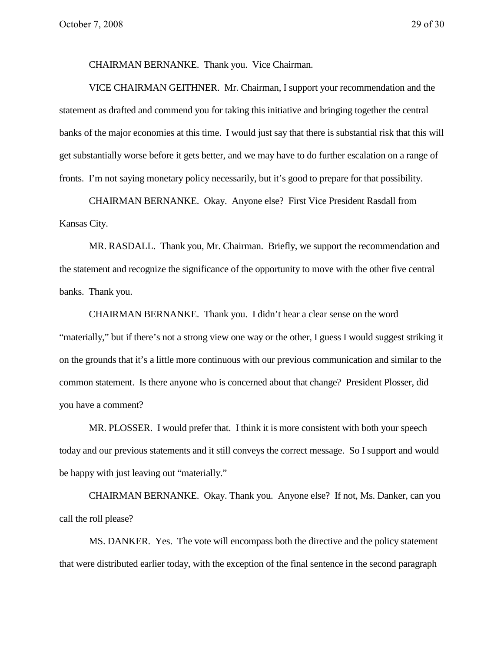CHAIRMAN BERNANKE. Thank you. Vice Chairman.

VICE CHAIRMAN GEITHNER. Mr. Chairman, I support your recommendation and the statement as drafted and commend you for taking this initiative and bringing together the central banks of the major economies at this time. I would just say that there is substantial risk that this will get substantially worse before it gets better, and we may have to do further escalation on a range of fronts. I'm not saying monetary policy necessarily, but it's good to prepare for that possibility.

CHAIRMAN BERNANKE. Okay. Anyone else? First Vice President Rasdall from Kansas City.

MR. RASDALL. Thank you, Mr. Chairman. Briefly, we support the recommendation and the statement and recognize the significance of the opportunity to move with the other five central banks. Thank you.

CHAIRMAN BERNANKE. Thank you. I didn't hear a clear sense on the word "materially," but if there's not a strong view one way or the other, I guess I would suggest striking it on the grounds that it's a little more continuous with our previous communication and similar to the common statement. Is there anyone who is concerned about that change? President Plosser, did you have a comment?

MR. PLOSSER. I would prefer that. I think it is more consistent with both your speech today and our previous statements and it still conveys the correct message. So I support and would be happy with just leaving out "materially."

CHAIRMAN BERNANKE. Okay. Thank you. Anyone else? If not, Ms. Danker, can you call the roll please?

MS. DANKER. Yes. The vote will encompass both the directive and the policy statement that were distributed earlier today, with the exception of the final sentence in the second paragraph